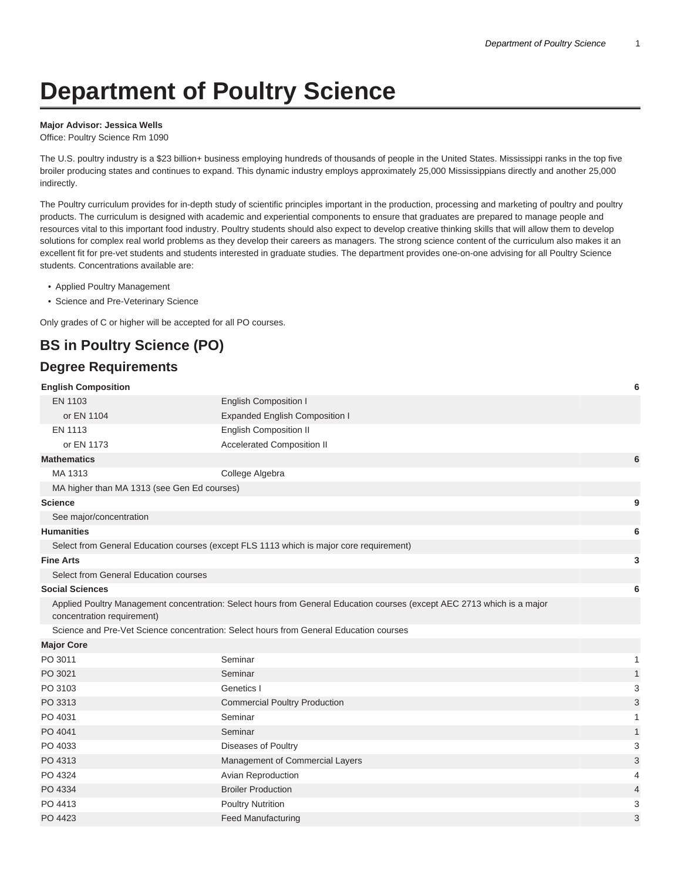# **Department of Poultry Science**

#### **Major Advisor: Jessica Wells**

Office: Poultry Science Rm 1090

The U.S. poultry industry is a \$23 billion+ business employing hundreds of thousands of people in the United States. Mississippi ranks in the top five broiler producing states and continues to expand. This dynamic industry employs approximately 25,000 Mississippians directly and another 25,000 indirectly.

The Poultry curriculum provides for in-depth study of scientific principles important in the production, processing and marketing of poultry and poultry products. The curriculum is designed with academic and experiential components to ensure that graduates are prepared to manage people and resources vital to this important food industry. Poultry students should also expect to develop creative thinking skills that will allow them to develop solutions for complex real world problems as they develop their careers as managers. The strong science content of the curriculum also makes it an excellent fit for pre-vet students and students interested in graduate studies. The department provides one-on-one advising for all Poultry Science students. Concentrations available are:

- Applied Poultry Management
- Science and Pre-Veterinary Science

Only grades of C or higher will be accepted for all PO courses.

## **BS in Poultry Science (PO)**

#### **Degree Requirements**

| <b>English Composition</b>                  |                                                                                                                         | 6 |
|---------------------------------------------|-------------------------------------------------------------------------------------------------------------------------|---|
| EN 1103                                     | <b>English Composition I</b>                                                                                            |   |
| or EN 1104                                  | <b>Expanded English Composition I</b>                                                                                   |   |
| EN 1113                                     | <b>English Composition II</b>                                                                                           |   |
| or EN 1173                                  | Accelerated Composition II                                                                                              |   |
| <b>Mathematics</b>                          |                                                                                                                         | 6 |
| MA 1313                                     | College Algebra                                                                                                         |   |
| MA higher than MA 1313 (see Gen Ed courses) |                                                                                                                         |   |
| <b>Science</b>                              |                                                                                                                         | 9 |
| See major/concentration                     |                                                                                                                         |   |
| <b>Humanities</b>                           |                                                                                                                         | 6 |
|                                             | Select from General Education courses (except FLS 1113 which is major core requirement)                                 |   |
| <b>Fine Arts</b>                            |                                                                                                                         | 3 |
| Select from General Education courses       |                                                                                                                         |   |
| <b>Social Sciences</b>                      |                                                                                                                         | 6 |
| concentration requirement)                  | Applied Poultry Management concentration: Select hours from General Education courses (except AEC 2713 which is a major |   |
|                                             | Science and Pre-Vet Science concentration: Select hours from General Education courses                                  |   |
| <b>Major Core</b>                           |                                                                                                                         |   |
| PO 3011                                     | Seminar                                                                                                                 |   |
| PO 3021                                     | Seminar                                                                                                                 |   |
| PO 3103                                     | Genetics I                                                                                                              | 3 |
| PO 3313                                     | <b>Commercial Poultry Production</b>                                                                                    | 3 |
|                                             |                                                                                                                         |   |

| PO 3011 | Seminar                              |                |
|---------|--------------------------------------|----------------|
| PO 3021 | Seminar                              | 1              |
| PO 3103 | Genetics I                           | 3              |
| PO 3313 | <b>Commercial Poultry Production</b> | 3              |
| PO 4031 | Seminar                              |                |
| PO 4041 | Seminar                              | 1              |
| PO 4033 | Diseases of Poultry                  | 3              |
| PO 4313 | Management of Commercial Layers      | 3              |
| PO 4324 | Avian Reproduction                   | 4              |
| PO 4334 | <b>Broiler Production</b>            | $\overline{4}$ |
| PO 4413 | <b>Poultry Nutrition</b>             | 3              |
| PO 4423 | <b>Feed Manufacturing</b>            | 3              |
|         |                                      |                |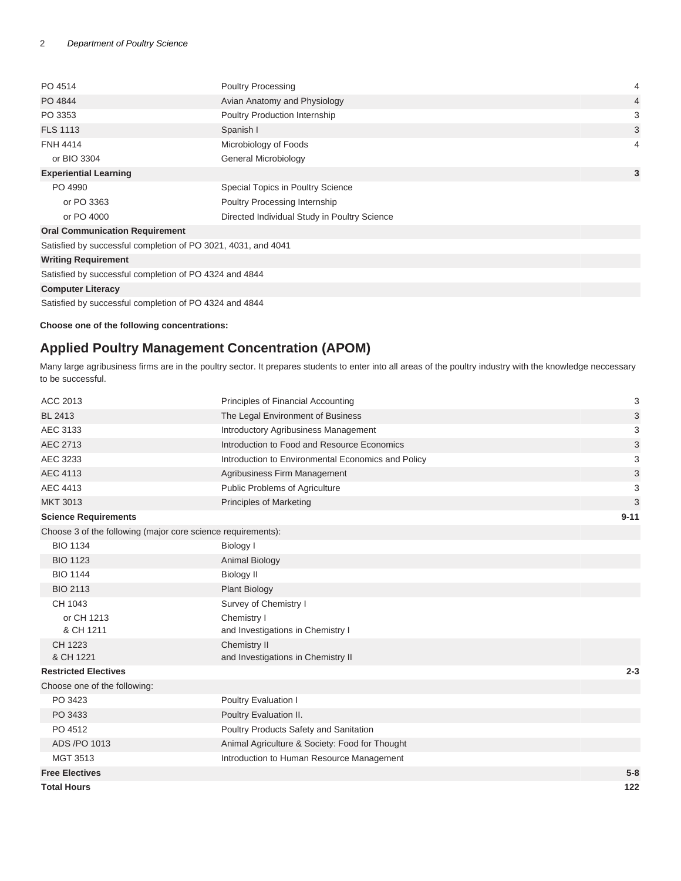| PO 4514                                                            | <b>Poultry Processing</b>                    | 4              |
|--------------------------------------------------------------------|----------------------------------------------|----------------|
| PO 4844                                                            | Avian Anatomy and Physiology                 | $\overline{4}$ |
| PO 3353                                                            | Poultry Production Internship                | 3              |
| <b>FLS 1113</b>                                                    | Spanish I                                    | 3              |
| <b>FNH 4414</b>                                                    | Microbiology of Foods                        | 4              |
| or BIO 3304                                                        | General Microbiology                         |                |
| <b>Experiential Learning</b>                                       |                                              | 3              |
| PO 4990                                                            | Special Topics in Poultry Science            |                |
| or PO 3363                                                         | Poultry Processing Internship                |                |
| or PO 4000                                                         | Directed Individual Study in Poultry Science |                |
| <b>Oral Communication Requirement</b>                              |                                              |                |
| Satisfied by successful completion of PO 3021, 4031, and 4041      |                                              |                |
| <b>Writing Requirement</b>                                         |                                              |                |
| Satisfied by successful completion of PO 4324 and 4844             |                                              |                |
| <b>Computer Literacy</b>                                           |                                              |                |
| $\sim$ $\sim$ $\sim$ $\sim$<br>$\cdots$ $\cdots$ $\cdots$ $\cdots$ |                                              |                |

Satisfied by successful completion of PO 4324 and 4844

**Choose one of the following concentrations:**

#### **Applied Poultry Management Concentration (APOM)**

Many large agribusiness firms are in the poultry sector. It prepares students to enter into all areas of the poultry industry with the knowledge neccessary to be successful.

| ACC 2013                                                     | Principles of Financial Accounting                 | 3        |
|--------------------------------------------------------------|----------------------------------------------------|----------|
| <b>BL 2413</b>                                               | The Legal Environment of Business                  | 3        |
| AEC 3133                                                     | <b>Introductory Agribusiness Management</b>        | 3        |
| AEC 2713                                                     | Introduction to Food and Resource Economics        | 3        |
| AEC 3233                                                     | Introduction to Environmental Economics and Policy | 3        |
| <b>AEC 4113</b>                                              | Agribusiness Firm Management                       | 3        |
| <b>AEC 4413</b>                                              | Public Problems of Agriculture                     | 3        |
| <b>MKT 3013</b>                                              | <b>Principles of Marketing</b>                     | 3        |
| <b>Science Requirements</b>                                  |                                                    | $9 - 11$ |
| Choose 3 of the following (major core science requirements): |                                                    |          |
| <b>BIO 1134</b>                                              | Biology I                                          |          |
| <b>BIO 1123</b>                                              | <b>Animal Biology</b>                              |          |
| <b>BIO 1144</b>                                              | <b>Biology II</b>                                  |          |
| <b>BIO 2113</b>                                              | <b>Plant Biology</b>                               |          |
| CH 1043                                                      | Survey of Chemistry I                              |          |
| or CH 1213                                                   | Chemistry I                                        |          |
| & CH 1211                                                    | and Investigations in Chemistry I                  |          |
| CH 1223                                                      | Chemistry II                                       |          |
| & CH 1221                                                    | and Investigations in Chemistry II                 |          |
| <b>Restricted Electives</b>                                  |                                                    | $2 - 3$  |
| Choose one of the following:                                 |                                                    |          |
| PO 3423                                                      | Poultry Evaluation I                               |          |
| PO 3433                                                      | Poultry Evaluation II.                             |          |
| PO 4512                                                      | Poultry Products Safety and Sanitation             |          |
| ADS /PO 1013                                                 | Animal Agriculture & Society: Food for Thought     |          |
| MGT 3513                                                     | Introduction to Human Resource Management          |          |
| <b>Free Electives</b>                                        |                                                    | $5 - 8$  |
| <b>Total Hours</b>                                           |                                                    | 122      |